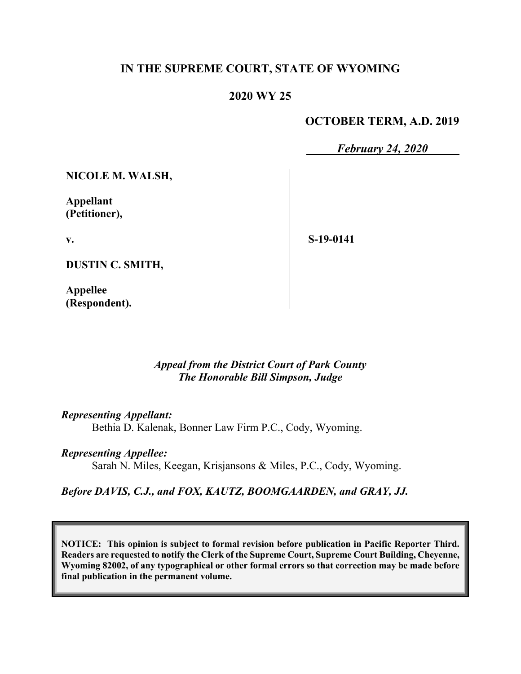# **IN THE SUPREME COURT, STATE OF WYOMING**

#### **2020 WY 25**

#### **OCTOBER TERM, A.D. 2019**

*February 24, 2020*

**NICOLE M. WALSH,**

**Appellant (Petitioner),**

**v.**

**S-19-0141**

**DUSTIN C. SMITH,**

**Appellee (Respondent).**

> *Appeal from the District Court of Park County The Honorable Bill Simpson, Judge*

*Representing Appellant:*

Bethia D. Kalenak, Bonner Law Firm P.C., Cody, Wyoming.

#### *Representing Appellee:*

Sarah N. Miles, Keegan, Krisjansons & Miles, P.C., Cody, Wyoming.

*Before DAVIS, C.J., and FOX, KAUTZ, BOOMGAARDEN, and GRAY, JJ.*

**NOTICE: This opinion is subject to formal revision before publication in Pacific Reporter Third. Readers are requested to notify the Clerk of the Supreme Court, Supreme Court Building, Cheyenne, Wyoming 82002, of any typographical or other formal errors so that correction may be made before final publication in the permanent volume.**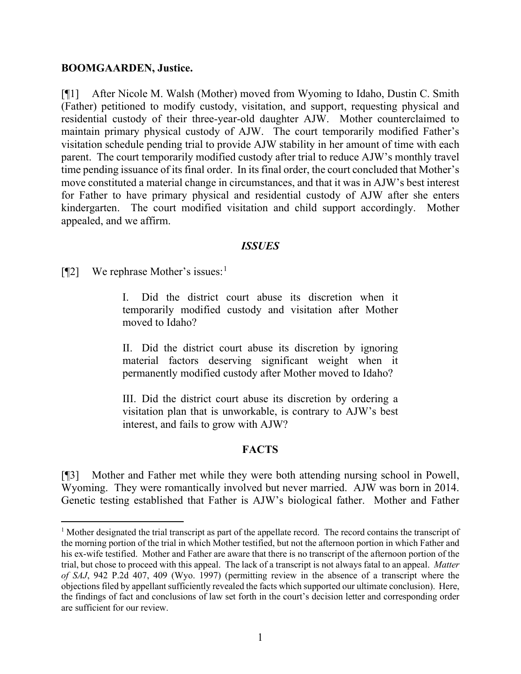#### **BOOMGAARDEN, Justice.**

[¶1] After Nicole M. Walsh (Mother) moved from Wyoming to Idaho, Dustin C. Smith (Father) petitioned to modify custody, visitation, and support, requesting physical and residential custody of their three-year-old daughter AJW. Mother counterclaimed to maintain primary physical custody of AJW. The court temporarily modified Father's visitation schedule pending trial to provide AJW stability in her amount of time with each parent. The court temporarily modified custody after trial to reduce AJW's monthly travel time pending issuance of its final order. In its final order, the court concluded that Mother's move constituted a material change in circumstances, and that it was in AJW's best interest for Father to have primary physical and residential custody of AJW after she enters kindergarten. The court modified visitation and child support accordingly. Mother appealed, and we affirm.

#### *ISSUES*

[¶2] We rephrase Mother's issues: [1](#page-1-0)

Did the district court abuse its discretion when it temporarily modified custody and visitation after Mother moved to Idaho?

II. Did the district court abuse its discretion by ignoring material factors deserving significant weight when it permanently modified custody after Mother moved to Idaho?

III. Did the district court abuse its discretion by ordering a visitation plan that is unworkable, is contrary to AJW's best interest, and fails to grow with AJW?

#### **FACTS**

[¶3] Mother and Father met while they were both attending nursing school in Powell, Wyoming. They were romantically involved but never married. AJW was born in 2014. Genetic testing established that Father is AJW's biological father. Mother and Father

<span id="page-1-0"></span><sup>&</sup>lt;sup>1</sup> Mother designated the trial transcript as part of the appellate record. The record contains the transcript of the morning portion of the trial in which Mother testified, but not the afternoon portion in which Father and his ex-wife testified. Mother and Father are aware that there is no transcript of the afternoon portion of the trial, but chose to proceed with this appeal. The lack of a transcript is not always fatal to an appeal. *Matter of SAJ*, 942 P.2d 407, 409 (Wyo. 1997) (permitting review in the absence of a transcript where the objections filed by appellant sufficiently revealed the facts which supported our ultimate conclusion). Here, the findings of fact and conclusions of law set forth in the court's decision letter and corresponding order are sufficient for our review.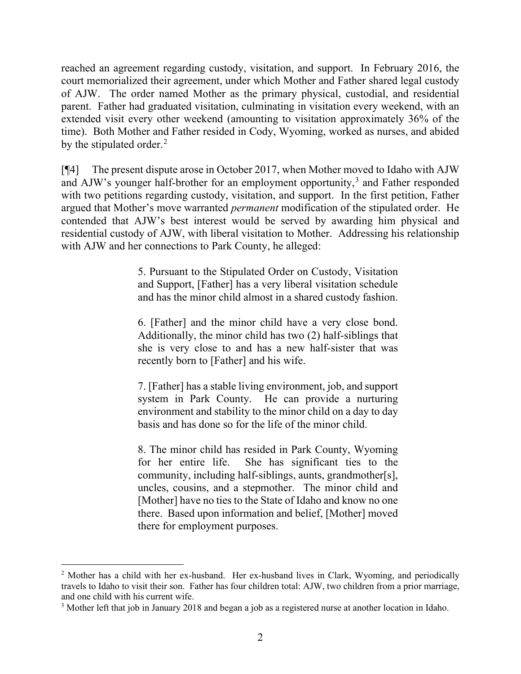reached an agreement regarding custody, visitation, and support. In February 2016, the court memorialized their agreement, under which Mother and Father shared legal custody of AJW. The order named Mother as the primary physical, custodial, and residential parent. Father had graduated visitation, culminating in visitation every weekend, with an extended visit every other weekend (amounting to visitation approximately 36% of the time). Both Mother and Father resided in Cody, Wyoming, worked as nurses, and abided by the stipulated order.<sup>[2](#page-2-0)</sup>

[¶4] The present dispute arose in October 2017, when Mother moved to Idaho with AJW and AJW's younger half-brother for an employment opportunity,<sup>[3](#page-2-1)</sup> and Father responded with two petitions regarding custody, visitation, and support. In the first petition, Father argued that Mother's move warranted *permanent* modification of the stipulated order. He contended that AJW's best interest would be served by awarding him physical and residential custody of AJW, with liberal visitation to Mother. Addressing his relationship with AJW and her connections to Park County, he alleged:

> 5. Pursuant to the Stipulated Order on Custody, Visitation and Support, [Father] has a very liberal visitation schedule and has the minor child almost in a shared custody fashion.

> 6. [Father] and the minor child have a very close bond. Additionally, the minor child has two (2) half-siblings that she is very close to and has a new half-sister that was recently born to [Father] and his wife.

> 7. [Father] has a stable living environment, job, and support system in Park County. He can provide a nurturing environment and stability to the minor child on a day to day basis and has done so for the life of the minor child.

> 8. The minor child has resided in Park County, Wyoming for her entire life. She has significant ties to the community, including half-siblings, aunts, grandmother[s], uncles, cousins, and a stepmother. The minor child and [Mother] have no ties to the State of Idaho and know no one there. Based upon information and belief, [Mother] moved there for employment purposes.

<span id="page-2-0"></span><sup>&</sup>lt;sup>2</sup> Mother has a child with her ex-husband. Her ex-husband lives in Clark, Wyoming, and periodically travels to Idaho to visit their son. Father has four children total: AJW, two children from a prior marriage, and one child with his current wife.

<span id="page-2-1"></span><sup>&</sup>lt;sup>3</sup> Mother left that job in January 2018 and began a job as a registered nurse at another location in Idaho.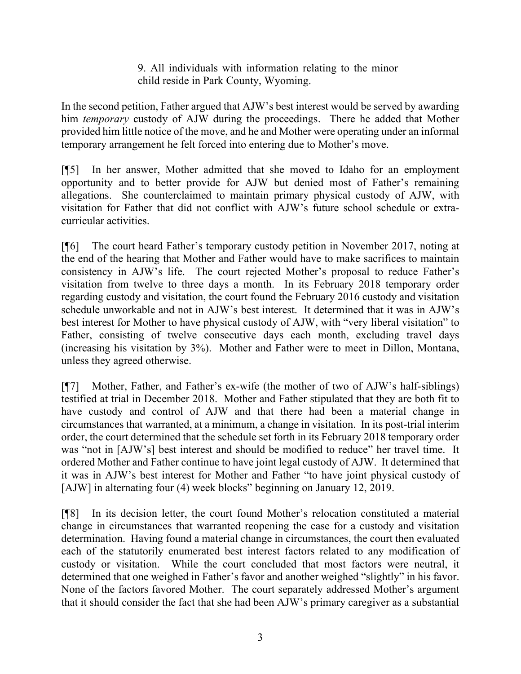9. All individuals with information relating to the minor child reside in Park County, Wyoming.

In the second petition, Father argued that AJW's best interest would be served by awarding him *temporary* custody of AJW during the proceedings. There he added that Mother provided him little notice of the move, and he and Mother were operating under an informal temporary arrangement he felt forced into entering due to Mother's move.

[¶5] In her answer, Mother admitted that she moved to Idaho for an employment opportunity and to better provide for AJW but denied most of Father's remaining allegations. She counterclaimed to maintain primary physical custody of AJW, with visitation for Father that did not conflict with AJW's future school schedule or extracurricular activities.

[¶6] The court heard Father's temporary custody petition in November 2017, noting at the end of the hearing that Mother and Father would have to make sacrifices to maintain consistency in AJW's life. The court rejected Mother's proposal to reduce Father's visitation from twelve to three days a month. In its February 2018 temporary order regarding custody and visitation, the court found the February 2016 custody and visitation schedule unworkable and not in AJW's best interest. It determined that it was in AJW's best interest for Mother to have physical custody of AJW, with "very liberal visitation" to Father, consisting of twelve consecutive days each month, excluding travel days (increasing his visitation by 3%). Mother and Father were to meet in Dillon, Montana, unless they agreed otherwise.

[¶7] Mother, Father, and Father's ex-wife (the mother of two of AJW's half-siblings) testified at trial in December 2018. Mother and Father stipulated that they are both fit to have custody and control of AJW and that there had been a material change in circumstances that warranted, at a minimum, a change in visitation. In its post-trial interim order, the court determined that the schedule set forth in its February 2018 temporary order was "not in [AJW's] best interest and should be modified to reduce" her travel time. It ordered Mother and Father continue to have joint legal custody of AJW. It determined that it was in AJW's best interest for Mother and Father "to have joint physical custody of [AJW] in alternating four (4) week blocks" beginning on January 12, 2019.

[¶8] In its decision letter, the court found Mother's relocation constituted a material change in circumstances that warranted reopening the case for a custody and visitation determination. Having found a material change in circumstances, the court then evaluated each of the statutorily enumerated best interest factors related to any modification of custody or visitation. While the court concluded that most factors were neutral, it determined that one weighed in Father's favor and another weighed "slightly" in his favor. None of the factors favored Mother. The court separately addressed Mother's argument that it should consider the fact that she had been AJW's primary caregiver as a substantial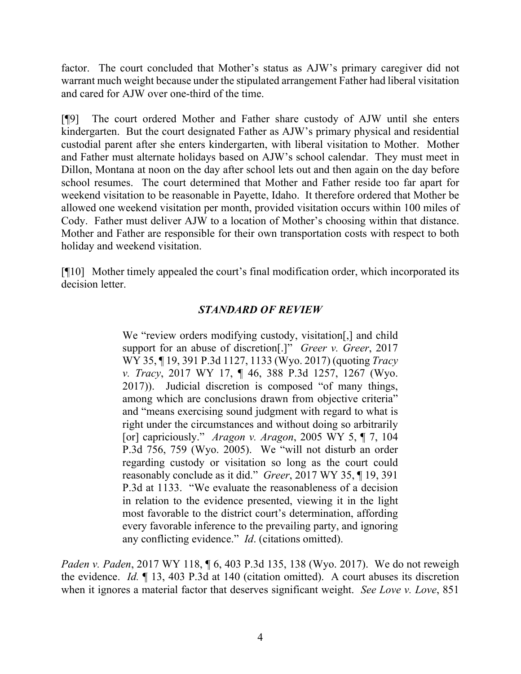factor. The court concluded that Mother's status as AJW's primary caregiver did not warrant much weight because under the stipulated arrangement Father had liberal visitation and cared for AJW over one-third of the time.

[¶9] The court ordered Mother and Father share custody of AJW until she enters kindergarten. But the court designated Father as AJW's primary physical and residential custodial parent after she enters kindergarten, with liberal visitation to Mother. Mother and Father must alternate holidays based on AJW's school calendar. They must meet in Dillon, Montana at noon on the day after school lets out and then again on the day before school resumes. The court determined that Mother and Father reside too far apart for weekend visitation to be reasonable in Payette, Idaho. It therefore ordered that Mother be allowed one weekend visitation per month, provided visitation occurs within 100 miles of Cody. Father must deliver AJW to a location of Mother's choosing within that distance. Mother and Father are responsible for their own transportation costs with respect to both holiday and weekend visitation.

[¶10] Mother timely appealed the court's final modification order, which incorporated its decision letter.

# *STANDARD OF REVIEW*

We "review orders modifying custody, visitation[,] and child support for an abuse of discretion[.]" *Greer v. Greer*, 2017 WY 35, ¶ 19, 391 P.3d 1127, 1133 (Wyo. 2017) (quoting *Tracy v. Tracy*, 2017 WY 17, ¶ 46, 388 P.3d 1257, 1267 (Wyo. 2017)). Judicial discretion is composed "of many things, among which are conclusions drawn from objective criteria" and "means exercising sound judgment with regard to what is right under the circumstances and without doing so arbitrarily [or] capriciously." *Aragon v. Aragon*, 2005 WY 5, ¶ 7, 104 P.3d 756, 759 (Wyo. 2005). We "will not disturb an order regarding custody or visitation so long as the court could reasonably conclude as it did." *Greer*, 2017 WY 35, ¶ 19, 391 P.3d at 1133. "We evaluate the reasonableness of a decision in relation to the evidence presented, viewing it in the light most favorable to the district court's determination, affording every favorable inference to the prevailing party, and ignoring any conflicting evidence." *Id*. (citations omitted).

*Paden v. Paden*, 2017 WY 118, ¶ 6, 403 P.3d 135, 138 (Wyo. 2017). We do not reweigh the evidence. *Id.* ¶ 13, 403 P.3d at 140 (citation omitted). A court abuses its discretion when it ignores a material factor that deserves significant weight. *See Love v. Love*, 851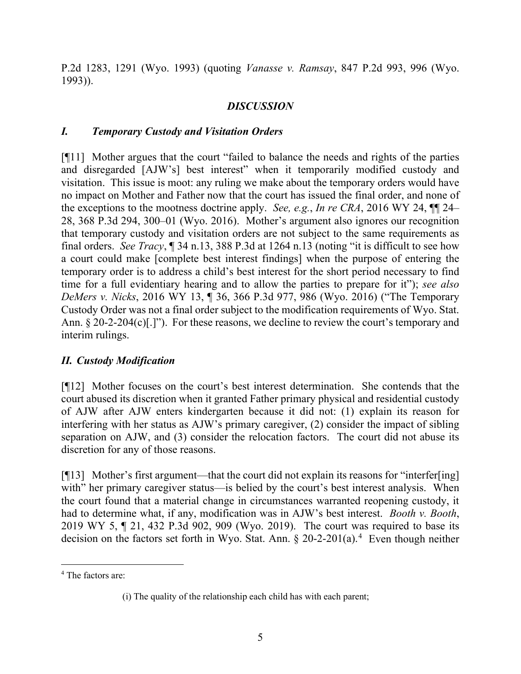P.2d 1283, 1291 (Wyo. 1993) (quoting *Vanasse v. Ramsay*, 847 P.2d 993, 996 (Wyo. 1993)).

# *DISCUSSION*

# *I. Temporary Custody and Visitation Orders*

[¶11] Mother argues that the court "failed to balance the needs and rights of the parties and disregarded [AJW's] best interest" when it temporarily modified custody and visitation. This issue is moot: any ruling we make about the temporary orders would have no impact on Mother and Father now that the court has issued the final order, and none of the exceptions to the mootness doctrine apply. *See, e.g.*, *In re CRA*, 2016 WY 24, ¶¶ 24– 28, 368 P.3d 294, 300–01 (Wyo. 2016). Mother's argument also ignores our recognition that temporary custody and visitation orders are not subject to the same requirements as final orders. *See Tracy*, ¶ 34 n.13, 388 P.3d at 1264 n.13 (noting "it is difficult to see how a court could make [complete best interest findings] when the purpose of entering the temporary order is to address a child's best interest for the short period necessary to find time for a full evidentiary hearing and to allow the parties to prepare for it"); *see also DeMers v. Nicks*, 2016 WY 13, ¶ 36, 366 P.3d 977, 986 (Wyo. 2016) ("The Temporary Custody Order was not a final order subject to the modification requirements of Wyo. Stat. Ann. § 20-2-204(c)[.]"). For these reasons, we decline to review the court's temporary and interim rulings.

# *II. Custody Modification*

[¶12] Mother focuses on the court's best interest determination. She contends that the court abused its discretion when it granted Father primary physical and residential custody of AJW after AJW enters kindergarten because it did not: (1) explain its reason for interfering with her status as AJW's primary caregiver, (2) consider the impact of sibling separation on AJW, and (3) consider the relocation factors. The court did not abuse its discretion for any of those reasons.

[¶13] Mother's first argument—that the court did not explain its reasons for "interfer[ing] with" her primary caregiver status—is belied by the court's best interest analysis. When the court found that a material change in circumstances warranted reopening custody, it had to determine what, if any, modification was in AJW's best interest. *Booth v. Booth*, 2019 WY 5, ¶ 21, 432 P.3d 902, 909 (Wyo. 2019). The court was required to base its decision on the factors set forth in Wyo. Stat. Ann.  $\S 20-2-201(a)$ .<sup>[4](#page-5-0)</sup> Even though neither

<span id="page-5-0"></span><sup>4</sup> The factors are:

<sup>(</sup>i) The quality of the relationship each child has with each parent;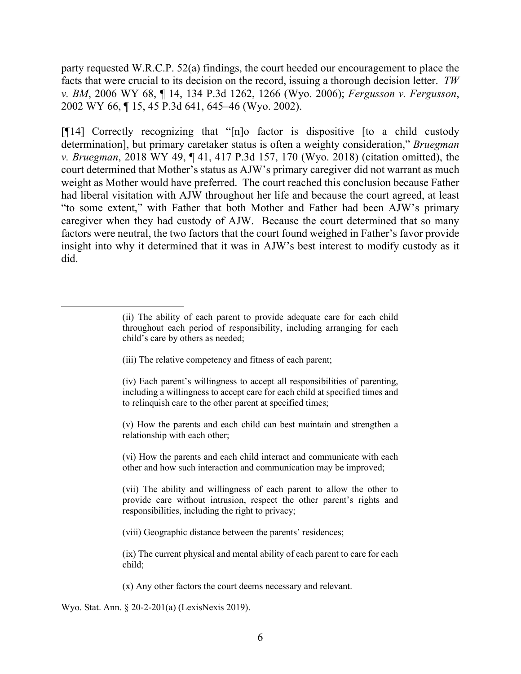party requested W.R.C.P. 52(a) findings, the court heeded our encouragement to place the facts that were crucial to its decision on the record, issuing a thorough decision letter. *TW v. BM*, 2006 WY 68, ¶ 14, 134 P.3d 1262, 1266 (Wyo. 2006); *Fergusson v. Fergusson*, 2002 WY 66, ¶ 15, 45 P.3d 641, 645–46 (Wyo. 2002).

[¶14] Correctly recognizing that "[n]o factor is dispositive [to a child custody determination], but primary caretaker status is often a weighty consideration," *Bruegman v. Bruegman*, 2018 WY 49, ¶ 41, 417 P.3d 157, 170 (Wyo. 2018) (citation omitted), the court determined that Mother's status as AJW's primary caregiver did not warrant as much weight as Mother would have preferred. The court reached this conclusion because Father had liberal visitation with AJW throughout her life and because the court agreed, at least "to some extent," with Father that both Mother and Father had been AJW's primary caregiver when they had custody of AJW. Because the court determined that so many factors were neutral, the two factors that the court found weighed in Father's favor provide insight into why it determined that it was in AJW's best interest to modify custody as it did.

- (iii) The relative competency and fitness of each parent;
- (iv) Each parent's willingness to accept all responsibilities of parenting, including a willingness to accept care for each child at specified times and to relinquish care to the other parent at specified times;
- (v) How the parents and each child can best maintain and strengthen a relationship with each other;

(vi) How the parents and each child interact and communicate with each other and how such interaction and communication may be improved;

(vii) The ability and willingness of each parent to allow the other to provide care without intrusion, respect the other parent's rights and responsibilities, including the right to privacy;

(viii) Geographic distance between the parents' residences;

(ix) The current physical and mental ability of each parent to care for each child;

(x) Any other factors the court deems necessary and relevant.

Wyo. Stat. Ann. § 20-2-201(a) (LexisNexis 2019).

<sup>(</sup>ii) The ability of each parent to provide adequate care for each child throughout each period of responsibility, including arranging for each child's care by others as needed;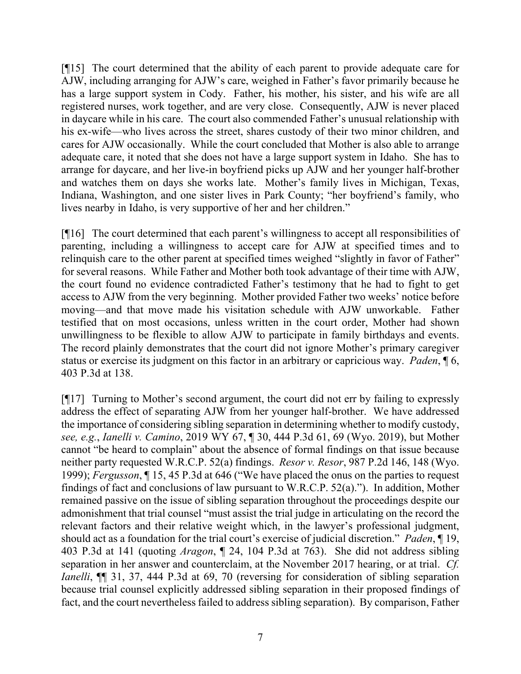[¶15] The court determined that the ability of each parent to provide adequate care for AJW, including arranging for AJW's care, weighed in Father's favor primarily because he has a large support system in Cody. Father, his mother, his sister, and his wife are all registered nurses, work together, and are very close. Consequently, AJW is never placed in daycare while in his care. The court also commended Father's unusual relationship with his ex-wife—who lives across the street, shares custody of their two minor children, and cares for AJW occasionally. While the court concluded that Mother is also able to arrange adequate care, it noted that she does not have a large support system in Idaho. She has to arrange for daycare, and her live-in boyfriend picks up AJW and her younger half-brother and watches them on days she works late. Mother's family lives in Michigan, Texas, Indiana, Washington, and one sister lives in Park County; "her boyfriend's family, who lives nearby in Idaho, is very supportive of her and her children."

[¶16] The court determined that each parent's willingness to accept all responsibilities of parenting, including a willingness to accept care for AJW at specified times and to relinquish care to the other parent at specified times weighed "slightly in favor of Father" for several reasons. While Father and Mother both took advantage of their time with AJW, the court found no evidence contradicted Father's testimony that he had to fight to get access to AJW from the very beginning. Mother provided Father two weeks' notice before moving—and that move made his visitation schedule with AJW unworkable. Father testified that on most occasions, unless written in the court order, Mother had shown unwillingness to be flexible to allow AJW to participate in family birthdays and events. The record plainly demonstrates that the court did not ignore Mother's primary caregiver status or exercise its judgment on this factor in an arbitrary or capricious way. *Paden*, ¶ 6, 403 P.3d at 138.

[¶17] Turning to Mother's second argument, the court did not err by failing to expressly address the effect of separating AJW from her younger half-brother. We have addressed the importance of considering sibling separation in determining whether to modify custody, *see, e.g.*, *Ianelli v. Camino*, 2019 WY 67, ¶ 30, 444 P.3d 61, 69 (Wyo. 2019), but Mother cannot "be heard to complain" about the absence of formal findings on that issue because neither party requested W.R.C.P. 52(a) findings. *Resor v. Resor*, 987 P.2d 146, 148 (Wyo. 1999); *Fergusson*, ¶ 15, 45 P.3d at 646 ("We have placed the onus on the parties to request findings of fact and conclusions of law pursuant to W.R.C.P. 52(a)."). In addition, Mother remained passive on the issue of sibling separation throughout the proceedings despite our admonishment that trial counsel "must assist the trial judge in articulating on the record the relevant factors and their relative weight which, in the lawyer's professional judgment, should act as a foundation for the trial court's exercise of judicial discretion." *Paden*, ¶ 19, 403 P.3d at 141 (quoting *Aragon*, ¶ 24, 104 P.3d at 763). She did not address sibling separation in her answer and counterclaim, at the November 2017 hearing, or at trial. *Cf. Ianelli*,  $\P$  31, 37, 444 P.3d at 69, 70 (reversing for consideration of sibling separation because trial counsel explicitly addressed sibling separation in their proposed findings of fact, and the court nevertheless failed to address sibling separation). By comparison, Father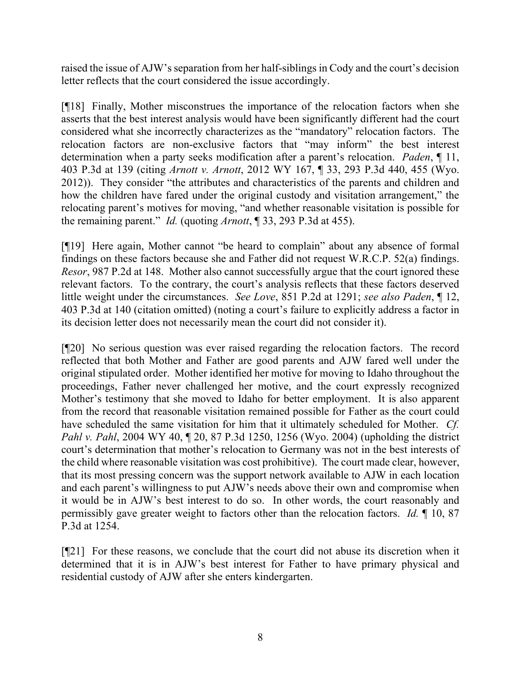raised the issue of AJW's separation from her half-siblings in Cody and the court's decision letter reflects that the court considered the issue accordingly.

[¶18] Finally, Mother misconstrues the importance of the relocation factors when she asserts that the best interest analysis would have been significantly different had the court considered what she incorrectly characterizes as the "mandatory" relocation factors. The relocation factors are non-exclusive factors that "may inform" the best interest determination when a party seeks modification after a parent's relocation. *Paden*, ¶ 11, 403 P.3d at 139 (citing *Arnott v. Arnott*, 2012 WY 167, ¶ 33, 293 P.3d 440, 455 (Wyo. 2012)). They consider "the attributes and characteristics of the parents and children and how the children have fared under the original custody and visitation arrangement," the relocating parent's motives for moving, "and whether reasonable visitation is possible for the remaining parent." *Id.* (quoting *Arnott*, ¶ 33, 293 P.3d at 455).

[¶19] Here again, Mother cannot "be heard to complain" about any absence of formal findings on these factors because she and Father did not request W.R.C.P. 52(a) findings. *Resor*, 987 P.2d at 148. Mother also cannot successfully argue that the court ignored these relevant factors. To the contrary, the court's analysis reflects that these factors deserved little weight under the circumstances. *See Love*, 851 P.2d at 1291; *see also Paden*, ¶ 12, 403 P.3d at 140 (citation omitted) (noting a court's failure to explicitly address a factor in its decision letter does not necessarily mean the court did not consider it).

[¶20] No serious question was ever raised regarding the relocation factors. The record reflected that both Mother and Father are good parents and AJW fared well under the original stipulated order. Mother identified her motive for moving to Idaho throughout the proceedings, Father never challenged her motive, and the court expressly recognized Mother's testimony that she moved to Idaho for better employment. It is also apparent from the record that reasonable visitation remained possible for Father as the court could have scheduled the same visitation for him that it ultimately scheduled for Mother. *Cf. Pahl v. Pahl*, 2004 WY 40, ¶ 20, 87 P.3d 1250, 1256 (Wyo. 2004) (upholding the district court's determination that mother's relocation to Germany was not in the best interests of the child where reasonable visitation was cost prohibitive). The court made clear, however, that its most pressing concern was the support network available to AJW in each location and each parent's willingness to put AJW's needs above their own and compromise when it would be in AJW's best interest to do so. In other words, the court reasonably and permissibly gave greater weight to factors other than the relocation factors. *Id.* ¶ 10, 87 P.3d at 1254.

[¶21] For these reasons, we conclude that the court did not abuse its discretion when it determined that it is in AJW's best interest for Father to have primary physical and residential custody of AJW after she enters kindergarten.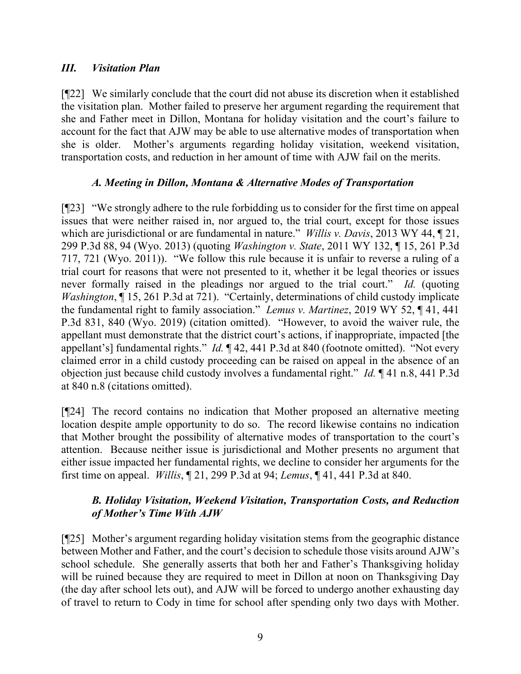#### *III. Visitation Plan*

[¶22] We similarly conclude that the court did not abuse its discretion when it established the visitation plan. Mother failed to preserve her argument regarding the requirement that she and Father meet in Dillon, Montana for holiday visitation and the court's failure to account for the fact that AJW may be able to use alternative modes of transportation when she is older. Mother's arguments regarding holiday visitation, weekend visitation, transportation costs, and reduction in her amount of time with AJW fail on the merits.

# *A. Meeting in Dillon, Montana & Alternative Modes of Transportation*

[¶23] "We strongly adhere to the rule forbidding us to consider for the first time on appeal issues that were neither raised in, nor argued to, the trial court, except for those issues which are jurisdictional or are fundamental in nature." *Willis v. Davis*, 2013 WY 44, ¶ 21, 299 P.3d 88, 94 (Wyo. 2013) (quoting *Washington v. State*, 2011 WY 132, ¶ 15, 261 P.3d 717, 721 (Wyo. 2011)). "We follow this rule because it is unfair to reverse a ruling of a trial court for reasons that were not presented to it, whether it be legal theories or issues never formally raised in the pleadings nor argued to the trial court." *Id.* (quoting *Washington*, ¶ 15, 261 P.3d at 721). "Certainly, determinations of child custody implicate the fundamental right to family association." *Lemus v. Martinez*, 2019 WY 52, ¶ 41, 441 P.3d 831, 840 (Wyo. 2019) (citation omitted). "However, to avoid the waiver rule, the appellant must demonstrate that the district court's actions, if inappropriate, impacted [the appellant's] fundamental rights." *Id.* ¶ 42, 441 P.3d at 840 (footnote omitted)."Not every claimed error in a child custody proceeding can be raised on appeal in the absence of an objection just because child custody involves a fundamental right." *Id.* ¶ 41 n.8, 441 P.3d at 840 n.8 (citations omitted).

[¶24] The record contains no indication that Mother proposed an alternative meeting location despite ample opportunity to do so. The record likewise contains no indication that Mother brought the possibility of alternative modes of transportation to the court's attention. Because neither issue is jurisdictional and Mother presents no argument that either issue impacted her fundamental rights, we decline to consider her arguments for the first time on appeal. *Willis*, ¶ 21, 299 P.3d at 94; *Lemus*, ¶ 41, 441 P.3d at 840.

# *B. Holiday Visitation, Weekend Visitation, Transportation Costs, and Reduction of Mother's Time With AJW*

[¶25] Mother's argument regarding holiday visitation stems from the geographic distance between Mother and Father, and the court's decision to schedule those visits around AJW's school schedule. She generally asserts that both her and Father's Thanksgiving holiday will be ruined because they are required to meet in Dillon at noon on Thanksgiving Day (the day after school lets out), and AJW will be forced to undergo another exhausting day of travel to return to Cody in time for school after spending only two days with Mother.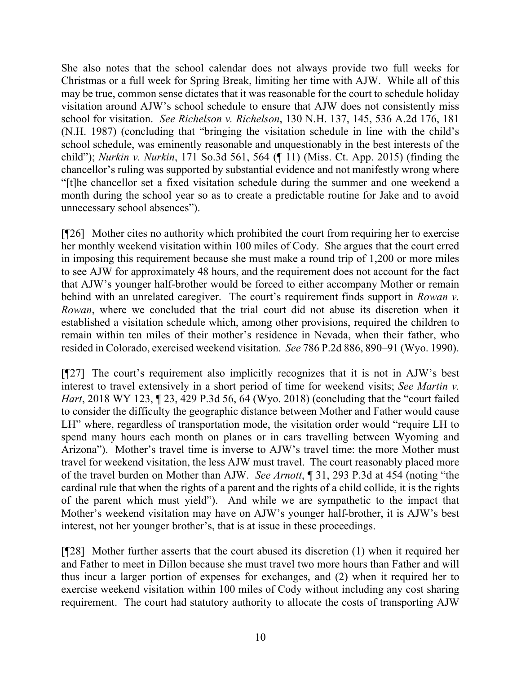She also notes that the school calendar does not always provide two full weeks for Christmas or a full week for Spring Break, limiting her time with AJW. While all of this may be true, common sense dictates that it was reasonable for the court to schedule holiday visitation around AJW's school schedule to ensure that AJW does not consistently miss school for visitation. *See Richelson v. Richelson*, 130 N.H. 137, 145, 536 A.2d 176, 181 (N.H. 1987) (concluding that "bringing the visitation schedule in line with the child's school schedule, was eminently reasonable and unquestionably in the best interests of the child"); *Nurkin v. Nurkin*, 171 So.3d 561, 564 (¶ 11) (Miss. Ct. App. 2015) (finding the chancellor's ruling was supported by substantial evidence and not manifestly wrong where "[t]he chancellor set a fixed visitation schedule during the summer and one weekend a month during the school year so as to create a predictable routine for Jake and to avoid unnecessary school absences").

[¶26] Mother cites no authority which prohibited the court from requiring her to exercise her monthly weekend visitation within 100 miles of Cody. She argues that the court erred in imposing this requirement because she must make a round trip of 1,200 or more miles to see AJW for approximately 48 hours, and the requirement does not account for the fact that AJW's younger half-brother would be forced to either accompany Mother or remain behind with an unrelated caregiver. The court's requirement finds support in *Rowan v. Rowan*, where we concluded that the trial court did not abuse its discretion when it established a visitation schedule which, among other provisions, required the children to remain within ten miles of their mother's residence in Nevada, when their father, who resided in Colorado, exercised weekend visitation. *See* 786 P.2d 886, 890–91 (Wyo. 1990).

[¶27] The court's requirement also implicitly recognizes that it is not in AJW's best interest to travel extensively in a short period of time for weekend visits; *See Martin v. Hart*, 2018 WY 123, ¶ 23, 429 P.3d 56, 64 (Wyo. 2018) (concluding that the "court failed to consider the difficulty the geographic distance between Mother and Father would cause LH" where, regardless of transportation mode, the visitation order would "require LH to spend many hours each month on planes or in cars travelling between Wyoming and Arizona"). Mother's travel time is inverse to AJW's travel time: the more Mother must travel for weekend visitation, the less AJW must travel. The court reasonably placed more of the travel burden on Mother than AJW. *See Arnott*, ¶ 31, 293 P.3d at 454 (noting "the cardinal rule that when the rights of a parent and the rights of a child collide, it is the rights of the parent which must yield"). And while we are sympathetic to the impact that Mother's weekend visitation may have on AJW's younger half-brother, it is AJW's best interest, not her younger brother's, that is at issue in these proceedings.

[¶28] Mother further asserts that the court abused its discretion (1) when it required her and Father to meet in Dillon because she must travel two more hours than Father and will thus incur a larger portion of expenses for exchanges, and (2) when it required her to exercise weekend visitation within 100 miles of Cody without including any cost sharing requirement. The court had statutory authority to allocate the costs of transporting AJW